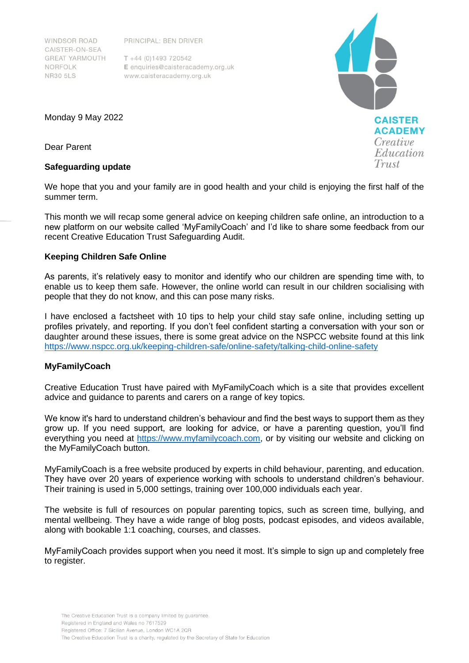PRINCIPAL: BEN DRIVER

WINDSOR ROAD CAISTER-ON-SEA **GREAT YARMOUTH** NORFOLK **NR30 5LS** 

 $T + 44(0)1493720542$ E enquiries@caisteracademy.org.uk www.caisteracademy.org.uk

**CAISTER ACADEMY** Creative Education Trust

Monday 9 May 2022

Dear Parent

### **Safeguarding update**

We hope that you and your family are in good health and your child is enjoying the first half of the summer term.

This month we will recap some general advice on keeping children safe online, an introduction to a new platform on our website called 'MyFamilyCoach' and I'd like to share some feedback from our recent Creative Education Trust Safeguarding Audit.

## **Keeping Children Safe Online**

As parents, it's relatively easy to monitor and identify who our children are spending time with, to enable us to keep them safe. However, the online world can result in our children socialising with people that they do not know, and this can pose many risks.

I have enclosed a factsheet with 10 tips to help your child stay safe online, including setting up profiles privately, and reporting. If you don't feel confident starting a conversation with your son or daughter around these issues, there is some great advice on the NSPCC website found at this link <https://www.nspcc.org.uk/keeping-children-safe/online-safety/talking-child-online-safety>

## **MyFamilyCoach**

Creative Education Trust have paired with MyFamilyCoach which is a site that provides excellent advice and guidance to parents and carers on a range of key topics.

We know it's hard to understand children's behaviour and find the best ways to support them as they grow up. If you need support, are looking for advice, or have a parenting question, you'll find everything you need at [https://www.myfamilycoach.com,](https://www.myfamilycoach.com/) or by visiting our website and clicking on the MyFamilyCoach button.

MyFamilyCoach is a free website produced by experts in child behaviour, parenting, and education. They have over 20 years of experience working with schools to understand children's behaviour. Their training is used in 5,000 settings, training over 100,000 individuals each year.

The website is full of resources on popular parenting topics, such as screen time, bullying, and mental wellbeing. They have a wide range of blog posts, podcast episodes, and videos available, along with bookable 1:1 coaching, courses, and classes.

MyFamilyCoach provides support when you need it most. It's simple to sign up and completely free to register.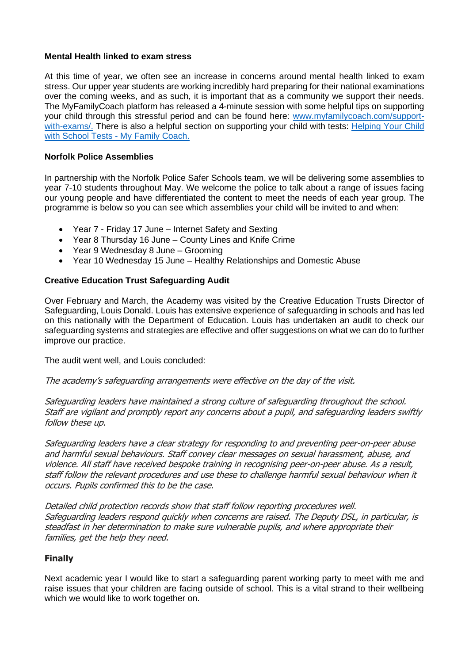### **Mental Health linked to exam stress**

At this time of year, we often see an increase in concerns around mental health linked to exam stress. Our upper year students are working incredibly hard preparing for their national examinations over the coming weeks, and as such, it is important that as a community we support their needs. The MyFamilyCoach platform has released a 4-minute session with some helpful tips on supporting your child through this stressful period and can be found here: [www.myfamilycoach.com/support](http://www.myfamilycoach.com/support-with-exams/)[with-exams/.](http://www.myfamilycoach.com/support-with-exams/) There is also a helpful section on supporting your child with tests: Helping Your Child [with School Tests -](https://www.myfamilycoach.com/school-tests/) My Family Coach.

## **Norfolk Police Assemblies**

In partnership with the Norfolk Police Safer Schools team, we will be delivering some assemblies to year 7-10 students throughout May. We welcome the police to talk about a range of issues facing our young people and have differentiated the content to meet the needs of each year group. The programme is below so you can see which assemblies your child will be invited to and when:

- Year 7 Friday 17 June Internet Safety and Sexting
- Year 8 Thursday 16 June County Lines and Knife Crime
- Year 9 Wednesday 8 June Grooming
- Year 10 Wednesday 15 June Healthy Relationships and Domestic Abuse

# **Creative Education Trust Safeguarding Audit**

Over February and March, the Academy was visited by the Creative Education Trusts Director of Safeguarding, Louis Donald. Louis has extensive experience of safeguarding in schools and has led on this nationally with the Department of Education. Louis has undertaken an audit to check our safeguarding systems and strategies are effective and offer suggestions on what we can do to further improve our practice.

The audit went well, and Louis concluded:

The academy's safeguarding arrangements were effective on the day of the visit.

Safeguarding leaders have maintained <sup>a</sup> strong culture of safeguarding throughout the school. Staff are vigilant and promptly report any concerns about <sup>a</sup> pupil, and safeguarding leaders swiftly follow these up.

Safeguarding leaders have <sup>a</sup> clear strategy for responding to and preventing peer-on-peer abuse and harmful sexual behaviours. Staff convey clear messages on sexual harassment, abuse, and violence. All staff have received bespoke training in recognising peer-on-peer abuse. As <sup>a</sup> result, staff follow the relevant procedures and use these to challenge harmful sexual behaviour when it occurs. Pupils confirmed this to be the case.

Detailed child protection records show that staff follow reporting procedures well. Safeguarding leaders respond quickly when concerns are raised. The Deputy DSL, in particular, is steadfast in her determination to make sure vulnerable pupils, and where appropriate their families, get the help they need.

## **Finally**

Next academic year I would like to start a safeguarding parent working party to meet with me and raise issues that your children are facing outside of school. This is a vital strand to their wellbeing which we would like to work together on.